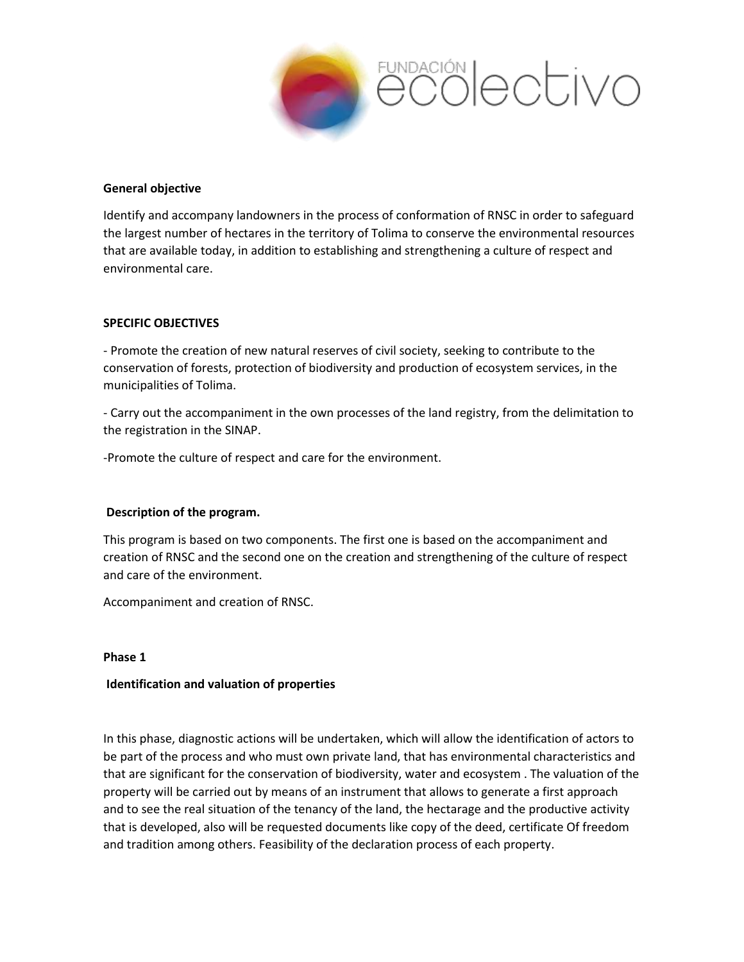

# **General objective**

Identify and accompany landowners in the process of conformation of RNSC in order to safeguard the largest number of hectares in the territory of Tolima to conserve the environmental resources that are available today, in addition to establishing and strengthening a culture of respect and environmental care.

# **SPECIFIC OBJECTIVES**

- Promote the creation of new natural reserves of civil society, seeking to contribute to the conservation of forests, protection of biodiversity and production of ecosystem services, in the municipalities of Tolima.

- Carry out the accompaniment in the own processes of the land registry, from the delimitation to the registration in the SINAP.

-Promote the culture of respect and care for the environment.

# **Description of the program.**

This program is based on two components. The first one is based on the accompaniment and creation of RNSC and the second one on the creation and strengthening of the culture of respect and care of the environment.

Accompaniment and creation of RNSC.

### **Phase 1**

# **Identification and valuation of properties**

In this phase, diagnostic actions will be undertaken, which will allow the identification of actors to be part of the process and who must own private land, that has environmental characteristics and that are significant for the conservation of biodiversity, water and ecosystem . The valuation of the property will be carried out by means of an instrument that allows to generate a first approach and to see the real situation of the tenancy of the land, the hectarage and the productive activity that is developed, also will be requested documents like copy of the deed, certificate Of freedom and tradition among others. Feasibility of the declaration process of each property.